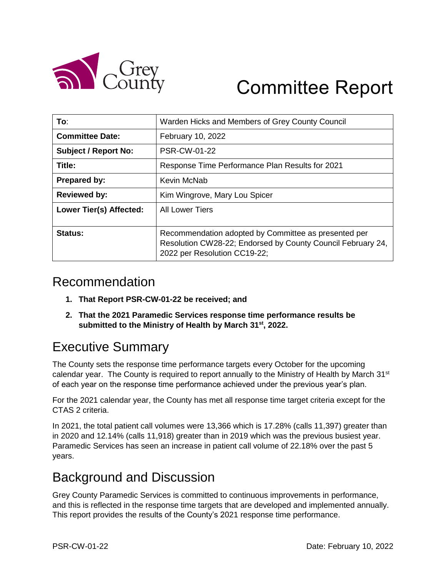

# Committee Report

| To:                            | Warden Hicks and Members of Grey County Council                                                                                                     |  |  |  |  |
|--------------------------------|-----------------------------------------------------------------------------------------------------------------------------------------------------|--|--|--|--|
| <b>Committee Date:</b>         | February 10, 2022                                                                                                                                   |  |  |  |  |
| <b>Subject / Report No:</b>    | <b>PSR-CW-01-22</b>                                                                                                                                 |  |  |  |  |
| Title:                         | Response Time Performance Plan Results for 2021                                                                                                     |  |  |  |  |
| <b>Prepared by:</b>            | Kevin McNab                                                                                                                                         |  |  |  |  |
| <b>Reviewed by:</b>            | Kim Wingrove, Mary Lou Spicer                                                                                                                       |  |  |  |  |
| <b>Lower Tier(s) Affected:</b> | <b>All Lower Tiers</b>                                                                                                                              |  |  |  |  |
| Status:                        | Recommendation adopted by Committee as presented per<br>Resolution CW28-22; Endorsed by County Council February 24,<br>2022 per Resolution CC19-22; |  |  |  |  |

### Recommendation

- **1. That Report PSR-CW-01-22 be received; and**
- **2. That the 2021 Paramedic Services response time performance results be submitted to the Ministry of Health by March 31 st, 2022.**

# Executive Summary

The County sets the response time performance targets every October for the upcoming calendar year. The County is required to report annually to the Ministry of Health by March  $31<sup>st</sup>$ of each year on the response time performance achieved under the previous year's plan.

For the 2021 calendar year, the County has met all response time target criteria except for the CTAS 2 criteria.

In 2021, the total patient call volumes were 13,366 which is 17.28% (calls 11,397) greater than in 2020 and 12.14% (calls 11,918) greater than in 2019 which was the previous busiest year. Paramedic Services has seen an increase in patient call volume of 22.18% over the past 5 years.

## Background and Discussion

Grey County Paramedic Services is committed to continuous improvements in performance, and this is reflected in the response time targets that are developed and implemented annually. This report provides the results of the County's 2021 response time performance.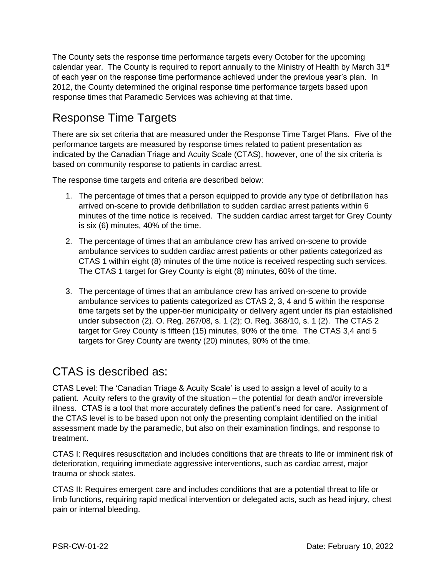The County sets the response time performance targets every October for the upcoming calendar year. The County is required to report annually to the Ministry of Health by March  $31<sup>st</sup>$ of each year on the response time performance achieved under the previous year's plan. In 2012, the County determined the original response time performance targets based upon response times that Paramedic Services was achieving at that time.

### Response Time Targets

There are six set criteria that are measured under the Response Time Target Plans. Five of the performance targets are measured by response times related to patient presentation as indicated by the Canadian Triage and Acuity Scale (CTAS), however, one of the six criteria is based on community response to patients in cardiac arrest.

The response time targets and criteria are described below:

- 1. The percentage of times that a person equipped to provide any type of defibrillation has arrived on-scene to provide defibrillation to sudden cardiac arrest patients within 6 minutes of the time notice is received. The sudden cardiac arrest target for Grey County is six (6) minutes, 40% of the time.
- 2. The percentage of times that an ambulance crew has arrived on-scene to provide ambulance services to sudden cardiac arrest patients or other patients categorized as CTAS 1 within eight (8) minutes of the time notice is received respecting such services. The CTAS 1 target for Grey County is eight (8) minutes, 60% of the time.
- 3. The percentage of times that an ambulance crew has arrived on-scene to provide ambulance services to patients categorized as CTAS 2, 3, 4 and 5 within the response time targets set by the upper-tier municipality or delivery agent under its plan established under subsection (2). O. Reg. 267/08, s. 1 (2); O. Reg. 368/10, s. 1 (2). The CTAS 2 target for Grey County is fifteen (15) minutes, 90% of the time. The CTAS 3,4 and 5 targets for Grey County are twenty (20) minutes, 90% of the time.

#### CTAS is described as:

CTAS Level: The 'Canadian Triage & Acuity Scale' is used to assign a level of acuity to a patient. Acuity refers to the gravity of the situation – the potential for death and/or irreversible illness. CTAS is a tool that more accurately defines the patient's need for care. Assignment of the CTAS level is to be based upon not only the presenting complaint identified on the initial assessment made by the paramedic, but also on their examination findings, and response to treatment.

CTAS I: Requires resuscitation and includes conditions that are threats to life or imminent risk of deterioration, requiring immediate aggressive interventions, such as cardiac arrest, major trauma or shock states.

CTAS II: Requires emergent care and includes conditions that are a potential threat to life or limb functions, requiring rapid medical intervention or delegated acts, such as head injury, chest pain or internal bleeding.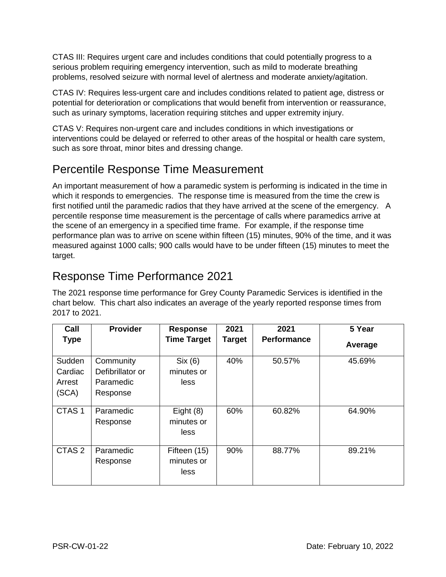CTAS III: Requires urgent care and includes conditions that could potentially progress to a serious problem requiring emergency intervention, such as mild to moderate breathing problems, resolved seizure with normal level of alertness and moderate anxiety/agitation.

CTAS IV: Requires less-urgent care and includes conditions related to patient age, distress or potential for deterioration or complications that would benefit from intervention or reassurance, such as urinary symptoms, laceration requiring stitches and upper extremity injury.

CTAS V: Requires non-urgent care and includes conditions in which investigations or interventions could be delayed or referred to other areas of the hospital or health care system, such as sore throat, minor bites and dressing change.

#### Percentile Response Time Measurement

An important measurement of how a paramedic system is performing is indicated in the time in which it responds to emergencies. The response time is measured from the time the crew is first notified until the paramedic radios that they have arrived at the scene of the emergency. A percentile response time measurement is the percentage of calls where paramedics arrive at the scene of an emergency in a specified time frame. For example, if the response time performance plan was to arrive on scene within fifteen (15) minutes, 90% of the time, and it was measured against 1000 calls; 900 calls would have to be under fifteen (15) minutes to meet the target.

#### Response Time Performance 2021

The 2021 response time performance for Grey County Paramedic Services is identified in the chart below. This chart also indicates an average of the yearly reported response times from 2017 to 2021.

| Call                                 | Provider                                               | <b>Response</b>                    | 2021          | 2021               | 5 Year  |
|--------------------------------------|--------------------------------------------------------|------------------------------------|---------------|--------------------|---------|
| <b>Type</b>                          |                                                        | <b>Time Target</b>                 | <b>Target</b> | <b>Performance</b> | Average |
| Sudden<br>Cardiac<br>Arrest<br>(SCA) | Community<br>Defibrillator or<br>Paramedic<br>Response | Six (6)<br>minutes or<br>less      | 40%           | 50.57%             | 45.69%  |
| CTAS <sub>1</sub>                    | Paramedic<br>Response                                  | Eight $(8)$<br>minutes or<br>less  | 60%           | 60.82%             | 64.90%  |
| CTAS <sub>2</sub>                    | Paramedic<br>Response                                  | Fifteen (15)<br>minutes or<br>less | 90%           | 88.77%             | 89.21%  |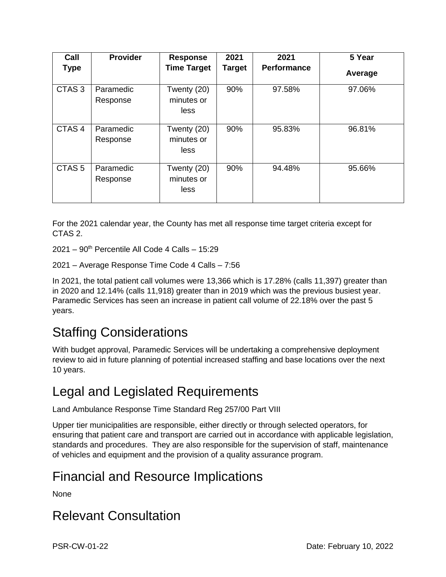| Call              | <b>Provider</b>       | <b>Response</b>                   | 2021          | 2021               | 5 Year  |
|-------------------|-----------------------|-----------------------------------|---------------|--------------------|---------|
| <b>Type</b>       |                       | <b>Time Target</b>                | <b>Target</b> | <b>Performance</b> | Average |
| CTAS <sub>3</sub> | Paramedic<br>Response | Twenty (20)<br>minutes or<br>less | 90%           | 97.58%             | 97.06%  |
| CTAS <sub>4</sub> | Paramedic<br>Response | Twenty (20)<br>minutes or<br>less | 90%           | 95.83%             | 96.81%  |
| CTAS <sub>5</sub> | Paramedic<br>Response | Twenty (20)<br>minutes or<br>less | 90%           | 94.48%             | 95.66%  |

For the 2021 calendar year, the County has met all response time target criteria except for CTAS 2.

 $2021 - 90$ <sup>th</sup> Percentile All Code 4 Calls - 15:29

2021 – Average Response Time Code 4 Calls – 7:56

In 2021, the total patient call volumes were 13,366 which is 17.28% (calls 11,397) greater than in 2020 and 12.14% (calls 11,918) greater than in 2019 which was the previous busiest year. Paramedic Services has seen an increase in patient call volume of 22.18% over the past 5 years.

# Staffing Considerations

With budget approval, Paramedic Services will be undertaking a comprehensive deployment review to aid in future planning of potential increased staffing and base locations over the next 10 years.

## Legal and Legislated Requirements

Land Ambulance Response Time Standard Reg 257/00 Part VIII

Upper tier municipalities are responsible, either directly or through selected operators, for ensuring that patient care and transport are carried out in accordance with applicable legislation, standards and procedures. They are also responsible for the supervision of staff, maintenance of vehicles and equipment and the provision of a quality assurance program.

# Financial and Resource Implications

None

## Relevant Consultation